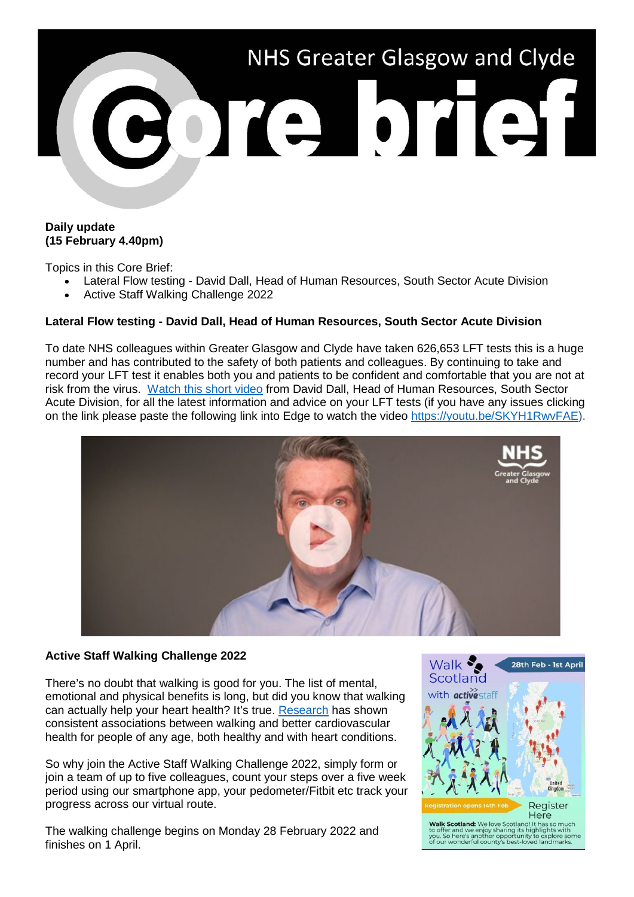

## **Daily update (15 February 4.40pm)**

Topics in this Core Brief:

- Lateral Flow testing David Dall, Head of Human Resources, South Sector Acute Division
- Active Staff Walking Challenge 2022

## **Lateral Flow testing - David Dall, Head of Human Resources, South Sector Acute Division**

To date NHS colleagues within Greater Glasgow and Clyde have taken 626,653 LFT tests this is a huge number and has contributed to the safety of both patients and colleagues. By continuing to take and record your LFT test it enables both you and patients to be confident and comfortable that you are not at risk from the virus. [Watch this short video](https://youtu.be/SKYH1RwvFAE) from David Dall, Head of Human Resources, South Sector Acute Division, for all the latest information and advice on your LFT tests (if you have any issues clicking on the link please paste the following link into Edge to watch the video [https://youtu.be/SKYH1RwvFAE\)](https://youtu.be/SKYH1RwvFAE).



## **Active Staff Walking Challenge 2022**

There's no doubt that walking is good for you. The list of mental, emotional and physical benefits is long, but did you know that walking can actually help your heart health? It's true. [Research](https://www.ncbi.nlm.nih.gov/pmc/articles/PMC3098122/) has shown consistent associations between walking and better cardiovascular health for people of any age, both healthy and with heart conditions.

So why join the Active Staff Walking Challenge 2022, simply form or join a team of up to five colleagues, count your steps over a five week period using our smartphone app, your pedometer/Fitbit etc track your progress across our virtual route.

The walking challenge begins on Monday 28 February 2022 and finishes on 1 April.



Walk Scotland: We love Scotland! It has so muc<br>to offer and we enjoy sharing its highlights with<br>you. So here's another opportunity to explore so<br>of our wonderful county's best-loved landmarks